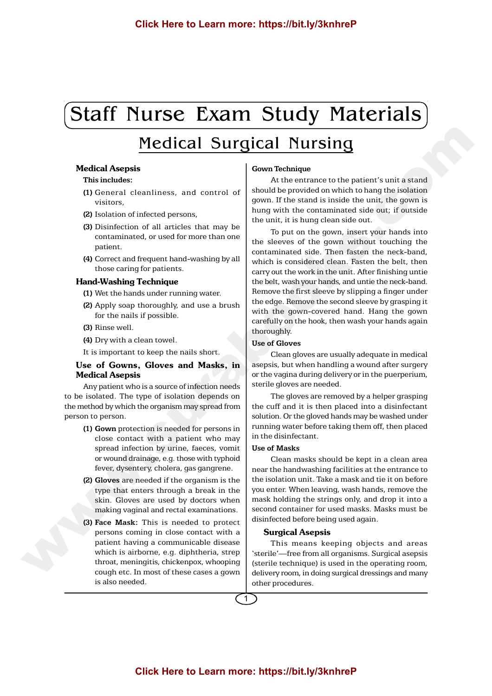# Staff Nurse Exam Study Materials

# Medical Surgical Nursing

# Medical Asepsis

# **This includes:**

- **(1)** General cleanliness, and control of visitors,
- **(2)** Isolation of infected persons,
- **(3)** Disinfection of all articles that may be contaminated, or used for more than one patient.
- **(4)** Correct and frequent hand-washing by all those caring for patients.

#### Hand-Washing Technique

- **(1)** Wet the hands under running water.
- **(2)** Apply soap thoroughly, and use a brush for the nails if possible.
- **(3)** Rinse well.
- **(4)** Dry with a clean towel.

It is important to keep the nails short.

# Use of Gowns, Gloves and Masks, in Medical Asepsis

Any patient who is a source of infection needs to be isolated. The type of isolation depends on the method by which the organism may spread from person to person.

- **(1) Gown** protection is needed for persons in close contact with a patient who may spread infection by urine, faeces, vomit or wound drainage, e.g. those with typhoid fever, dysentery, cholera, gas gangrene.
- **(2) Gloves** are needed if the organism is the type that enters through a break in the skin. Gloves are used by doctors when making vaginal and rectal examinations.
- **(3) Face Mask:** This is needed to protect persons coming in close contact with a patient having a communicable disease which is airborne, e.g. diphtheria, strep throat, meningitis, chickenpox, whooping cough etc. In most of these cases a gown is also needed.

# **Gown Technique**

At the entrance to the patient's unit a stand should be provided on which to hang the isolation gown. If the stand is inside the unit, the gown is hung with the contaminated side out; if outside the unit, it is hung clean side out.

To put on the gown, insert your hands into the sleeves of the gown without touching the contaminated side. Then fasten the neck-band, which is considered clean. Fasten the belt, then carry out the work in the unit. After finishing untie the belt, wash your hands, and untie the neck-band. Remove the first sleeve by slipping a finger under the edge. Remove the second sleeve by grasping it with the gown-covered hand. Hang the gown carefully on the hook, then wash your hands again thoroughly. Click Here to Learn more: https://bit.ly/3knhreP<br>
Medical Surgical Nursing<br>
Medical Surgical Nursing<br>
Medical Surgical Nursing<br>
This index of the control of the control of the control of the control of the control of the c

#### **Use of Gloves**

Clean gloves are usually adequate in medical asepsis, but when handling a wound after surgery or the vagina during delivery or in the puerperium, sterile gloves are needed.

The gloves are removed by a helper grasping the cuff and it is then placed into a disinfectant solution. Or the gloved hands may be washed under running water before taking them off, then placed in the disinfectant.

# **Use of Masks**

Clean masks should be kept in a clean area near the handwashing facilities at the entrance to the isolation unit. Take a mask and tie it on before you enter. When leaving, wash hands, remove the mask holding the strings only, and drop it into a second container for used masks. Masks must be disinfected before being used again.

#### Surgical Asepsis

This means keeping objects and areas 'sterile'—free from all organisms. Surgical asepsis (sterile technique) is used in the operating room, delivery room, in doing surgical dressings and many other procedures.

1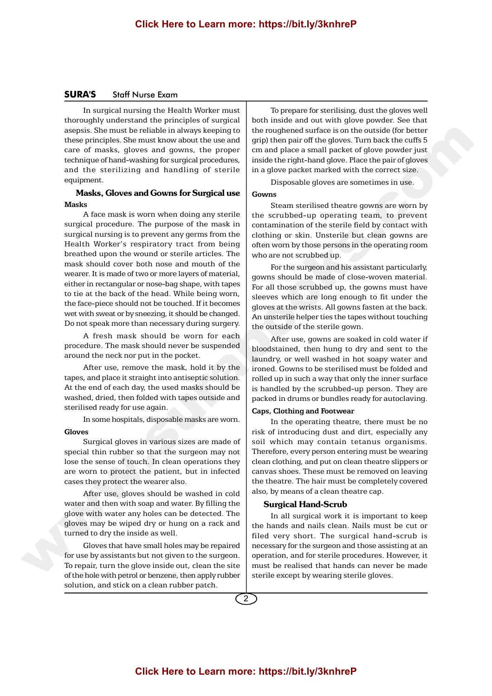## **SURA'S** Staff Nurse Exam

In surgical nursing the Health Worker must thoroughly understand the principles of surgical asepsis. She must be reliable in always keeping to these principles. She must know about the use and care of masks, gloves and gowns, the proper technique of hand-washing for surgical procedures, and the sterilizing and handling of sterile equipment.

# Masks, Gloves and Gowns for Surgical use **Masks**

A face mask is worn when doing any sterile surgical procedure. The purpose of the mask in surgical nursing is to prevent any germs from the Health Worker's respiratory tract from being breathed upon the wound or sterile articles. The mask should cover both nose and mouth of the wearer. It is made of two or more layers of material, either in rectangular or nose-bag shape, with tapes to tie at the back of the head. While being worn, the face-piece should not be touched. If it becomes wet with sweat or by sneezing, it should be changed. Do not speak more than necessary during surgery. www.surabooks.com

A fresh mask should be worn for each procedure. The mask should never be suspended around the neck nor put in the pocket.

After use, remove the mask, hold it by the tapes, and place it straight into antiseptic solution. At the end of each day, the used masks should be washed, dried, then folded with tapes outside and sterilised ready for use again.

In some hospitals, disposable masks are worn.

#### **Gloves**

Surgical gloves in various sizes are made of special thin rubber so that the surgeon may not lose the sense of touch. In clean operations they are worn to protect the patient, but in infected cases they protect the wearer also.

After use, gloves should be washed in cold water and then with soap and water. By filling the glove with water any holes can be detected. The gloves may be wiped dry or hung on a rack and turned to dry the inside as well.

Gloves that have small holes may be repaired for use by assistants but not given to the surgeon. To repair, turn the glove inside out, clean the site of the hole with petrol or benzene, then apply rubber solution, and stick on a clean rubber patch.

To prepare for sterilising, dust the gloves well both inside and out with glove powder. See that the roughened surface is on the outside (for better grip) then pair off the gloves. Turn back the cuffs 5 cm and place a small packet of glove powder just inside the right-hand glove. Place the pair of gloves in a glove packet marked with the correct size.

Disposable gloves are sometimes in use.

#### **Gowns**

Steam sterilised theatre gowns are worn by the scrubbed-up operating team, to prevent contamination of the sterile field by contact with clothing or skin. Unsterile but clean gowns are often worn by those persons in the operating room who are not scrubbed up.

For the surgeon and his assistant particularly, gowns should be made of close-woven material. For all those scrubbed up, the gowns must have sleeves which are long enough to fit under the gloves at the wrists. All gowns fasten at the back. An unsterile helper ties the tapes without touching the outside of the sterile gown.

After use, gowns are soaked in cold water if bloodstained, then hung to dry and sent to the laundry, or well washed in hot soapy water and ironed. Gowns to be sterilised must be folded and rolled up in such a way that only the inner surface is handled by the scrubbed-up person. They are packed in drums or bundles ready for autoclaving.

#### **Caps, Clothing and Footwear**

In the operating theatre, there must be no risk of introducing dust and dirt, especially any soil which may contain tetanus organisms. Therefore, every person entering must be wearing clean clothing, and put on clean theatre slippers or canvas shoes. These must be removed on leaving the theatre. The hair must be completely covered also, by means of a clean theatre cap.

#### Surgical Hand-Scrub

In all surgical work it is important to keep the hands and nails clean. Nails must be cut or filed very short. The surgical hand-scrub is necessary for the surgeon and those assisting at an operation, and for sterile procedures. However, it must be realised that hands can never be made sterile except by wearing sterile gloves.

2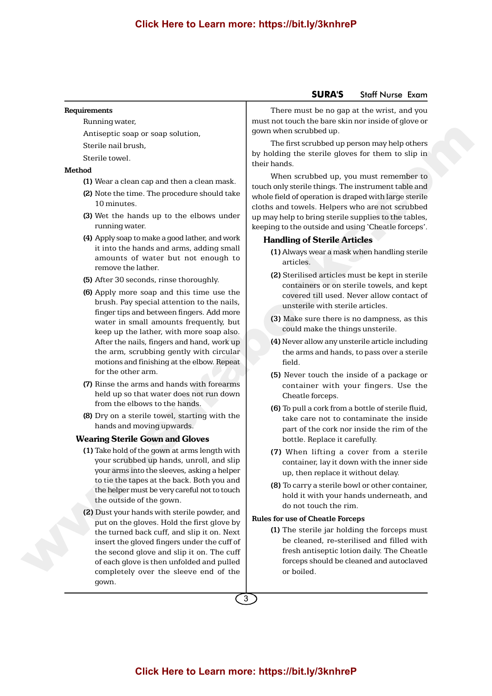#### **Requirements**

Running water,

Antiseptic soap or soap solution,

Sterile nail brush,

Sterile towel.

# **Method**

- **(1)** Wear a clean cap and then a clean mask.
- **(2)** Note the time. The procedure should take 10 minutes.
- **(3)** Wet the hands up to the elbows under running water.
- **(4)** Apply soap to make a good lather, and work it into the hands and arms, adding small amounts of water but not enough to remove the lather.
- **(5)** After 30 seconds, rinse thoroughly.
- **(6)** Apply more soap and this time use the brush. Pay special attention to the nails, finger tips and between fingers. Add more water in small amounts frequently, but keep up the lather, with more soap also. After the nails, fingers and hand, work up the arm, scrubbing gently with circular motions and finishing at the elbow. Repeat for the other arm. Ansalis and the main scale of the main scale and the main scale and the main scale and the main scale and the main scale and the main of the main of the main of the main of the main of the main of the main of the main of
	- **(7)** Rinse the arms and hands with forearms held up so that water does not run down from the elbows to the hands.
	- **(8)** Dry on a sterile towel, starting with the hands and moving upwards.

#### Wearing Sterile Gown and Gloves

- **(1)** Take hold of the gown at arms length with your scrubbed up hands, unroll, and slip your arms into the sleeves, asking a helper to tie the tapes at the back. Both you and the helper must be very careful not to touch the outside of the gown.
- **(2)** Dust your hands with sterile powder, and put on the gloves. Hold the first glove by the turned back cuff, and slip it on. Next insert the gloved fingers under the cuff of the second glove and slip it on. The cuff of each glove is then unfolded and pulled completely over the sleeve end of the gown.

There must be no gap at the wrist, and you must not touch the bare skin nor inside of glove or gown when scrubbed up.

The first scrubbed up person may help others by holding the sterile gloves for them to slip in their hands.

When scrubbed up, you must remember to touch only sterile things. The instrument table and whole field of operation is draped with large sterile cloths and towels. Helpers who are not scrubbed up may help to bring sterile supplies to the tables, keeping to the outside and using 'Cheatle forceps'.

# Handling of Sterile Articles

- **(1)** Always wear a mask when handling sterile articles.
- **(2)** Sterilised articles must be kept in sterile containers or on sterile towels, and kept covered till used. Never allow contact of unsterile with sterile articles.
- **(3)** Make sure there is no dampness, as this could make the things unsterile.
- **(4)** Never allow any unsterile article including the arms and hands, to pass over a sterile field.
- **(5)** Never touch the inside of a package or container with your fingers. Use the Cheatle forceps.
- **(6)** To pull a cork from a bottle of sterile fluid, take care not to contaminate the inside part of the cork nor inside the rim of the bottle. Replace it carefully.
- **(7)** When lifting a cover from a sterile container, lay it down with the inner side up, then replace it without delay.
- **(8)** To carry a sterile bowl or other container, hold it with your hands underneath, and do not touch the rim.

#### **Rules for use of Cheatle Forceps**

**(1)** The sterile jar holding the forceps must be cleaned, re-sterilised and filled with fresh antiseptic lotion daily. The Cheatle forceps should be cleaned and autoclaved or boiled.

3

# **SURA'S** Staff Nurse Exam